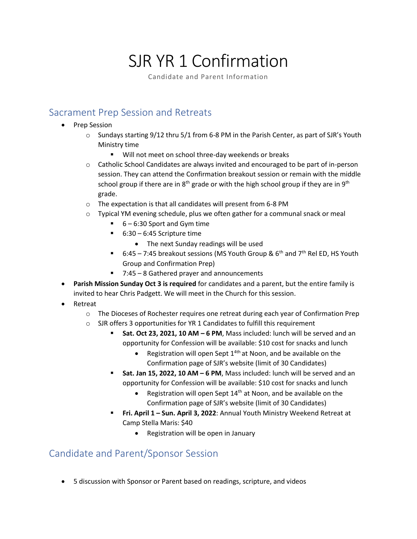# SJR YR 1 Confirmation

Candidate and Parent Information

# Sacrament Prep Session and Retreats

- Prep Session
	- $\circ$  Sundays starting 9/12 thru 5/1 from 6-8 PM in the Parish Center, as part of SJR's Youth Ministry time
		- Will not meet on school three-day weekends or breaks
	- o Catholic School Candidates are always invited and encouraged to be part of in-person session. They can attend the Confirmation breakout session or remain with the middle school group if there are in  $8<sup>th</sup>$  grade or with the high school group if they are in  $9<sup>th</sup>$ grade.
	- o The expectation is that all candidates will present from 6-8 PM
	- $\circ$  Typical YM evening schedule, plus we often gather for a communal snack or meal
		- $\blacksquare$  6 6:30 Sport and Gym time
		- $\blacksquare$  6:30 6:45 Scripture time
			- The next Sunday readings will be used
		- 6:45 7:45 breakout sessions (MS Youth Group &  $6<sup>th</sup>$  and  $7<sup>th</sup>$  Rel ED, HS Youth Group and Confirmation Prep)
		- 7:45 8 Gathered prayer and announcements
- **Parish Mission Sunday Oct 3 is required** for candidates and a parent, but the entire family is invited to hear Chris Padgett. We will meet in the Church for this session.
- Retreat
	- o The Dioceses of Rochester requires one retreat during each year of Confirmation Prep
	- o SJR offers 3 opportunities for YR 1 Candidates to fulfill this requirement
		- Sat. Oct 23, 2021, 10 AM 6 PM, Mass included: lunch will be served and an opportunity for Confession will be available: \$10 cost for snacks and lunch
			- Registration will open Sept  $1^{4th}$  at Noon, and be available on the Confirmation page of SJR's website (limit of 30 Candidates)
		- Sat. Jan 15, 2022, 10 AM 6 PM, Mass included: lunch will be served and an opportunity for Confession will be available: \$10 cost for snacks and lunch
			- Registration will open Sept  $14<sup>th</sup>$  at Noon, and be available on the Confirmation page of SJR's website (limit of 30 Candidates)
		- **Fri. April 1 Sun. April 3, 2022: Annual Youth Ministry Weekend Retreat at** Camp Stella Maris: \$40
			- Registration will be open in January

### Candidate and Parent/Sponsor Session

• 5 discussion with Sponsor or Parent based on readings, scripture, and videos